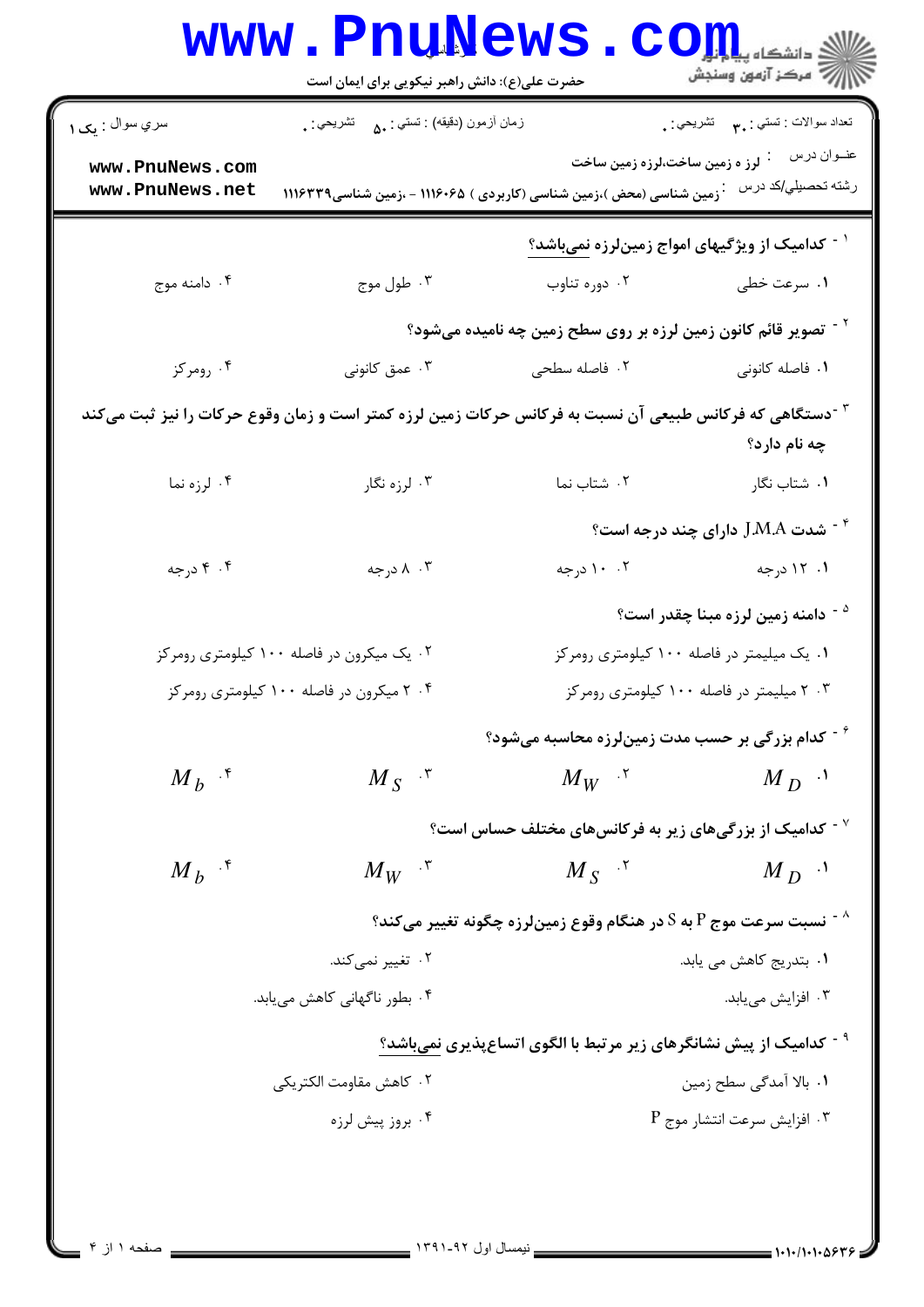|                                                                                                                                      | حضرت علی(ع): دانش راهبر نیکویی برای ایمان است                          |                                                                                       | دانشگاه پ <b>یا ب<sup>ا</sup> تو</b><br>رآ مرڪز آزمون وسنڊش |  |
|--------------------------------------------------------------------------------------------------------------------------------------|------------------------------------------------------------------------|---------------------------------------------------------------------------------------|-------------------------------------------------------------|--|
| سري سوال : يک ۱                                                                                                                      | زمان أزمون (دقيقه) : تستي : <sub>۵</sub> ۰     تشريحي : <sub>•</sub>   |                                                                                       | تعداد سوالات : تستي : ٣ <b>. س</b> تشريحي : .               |  |
| www.PnuNews.com<br>www.PnuNews.net                                                                                                   | ۰ زمین شناسی (محض )،زمین شناسی (کاربردی ) ۱۱۱۶۰۶۵ - ،زمین شناسی۱۱۱۶۳۳۹ | لرز ه زمین ساخت،لرزه زمین ساخت                                                        | عنــوان درس<br>رشته تحصيلي/كد درس                           |  |
|                                                                                                                                      |                                                                        | <sup>۱ -</sup> کدامیک از ویژگیهای امواج زمینلرزه <u>نمیباشد؟</u>                      |                                                             |  |
| ۰۴ دامنه موج                                                                                                                         | ۰۳ طول موج                                                             | ۰۲ دوره تناوب                                                                         | ۰۱ سرعت خطی                                                 |  |
|                                                                                                                                      |                                                                        | <sup>۲ -</sup> تصویر قائم کانون زمین لرزه بر روی سطح زمین چه نامیده میشود؟            |                                                             |  |
| ۰۴ رومرکز                                                                                                                            | ۰۳ عمق کانونی                                                          | ۰۲ فاصله سطحی                                                                         | ۰۱ فاصله کانونی                                             |  |
| <sup>۳ -</sup> دستگاهی که فرکانس طبیعی آن نسبت به فرکانس حرکات زمین لرزه کمتر است و زمان وقوع حرکات را نیز ثبت میکند<br>چه نام دارد؟ |                                                                        |                                                                                       |                                                             |  |
| ۰۴ لرزه نما                                                                                                                          | ۰۳ لرزه نگار                                                           | ۰۲ شتاب نما $\cdot$ ۲                                                                 | <b>۱.</b> شتاب نگار                                         |  |
|                                                                                                                                      |                                                                        |                                                                                       | شدت $\,$ J.M.A دارای چند درجه است $\,$ $^*$                 |  |
| ۰۴ درجه                                                                                                                              | ۰۳ ۸ درجه                                                              | ۰. ۱۰ درجه                                                                            | ۰۱ درجه                                                     |  |
|                                                                                                                                      |                                                                        |                                                                                       | <sup>۵ -</sup> دامنه زمین لرزه مبنا چقدر است؟               |  |
|                                                                                                                                      | ۰۲ یک میکرون در فاصله ۱۰۰ کیلومتری رومرکز                              |                                                                                       | ۰۱ یک میلیمتر در فاصله ۱۰۰ کیلومتری رومرکز                  |  |
| ۰۴ میکرون در فاصله ۱۰۰ کیلومتری رومرکز                                                                                               |                                                                        | ۰۳ میلیمتر در فاصله ۱۰۰ کیلومتری رومرکز                                               |                                                             |  |
|                                                                                                                                      |                                                                        | د - کدام بزرگی بر حسب مدت زمینلرزه محاسبه میشود $\hat{\tau}$                          |                                                             |  |
| $M_h$ <sup>5</sup>                                                                                                                   | $M_{S}$ <sup>"</sup>                                                   | $M_W$ $\mathcal{N}$                                                                   | $M_D$ <sup>1</sup>                                          |  |
|                                                                                                                                      |                                                                        | $^{\circ}$ کدامیک از بزرگیهای زیر به فرکانسهای مختلف حساس است $^{\circ}$              |                                                             |  |
| $M h^{-15}$                                                                                                                          | $M_W$ $\cdot$                                                          | $M_{S}$ <sup><math>\gamma</math></sup>                                                | $M_D$ <sup>1</sup>                                          |  |
|                                                                                                                                      |                                                                        | $^{\circ}$ نسبت سرعت موج P به S در هنگام وقوع زمینلرزه چگونه تغییر میکند $^{\circ}$   |                                                             |  |
|                                                                                                                                      | ۰۲ تغییر نمیکند.                                                       | ۰۱ بتدریج کاهش می یابد.                                                               |                                                             |  |
|                                                                                                                                      | ۰۴ بطور ناگهانی کاهش میبابد.                                           |                                                                                       | ۰۳ افزایش مییابد.                                           |  |
|                                                                                                                                      |                                                                        | <sup>۹ -</sup> كداميك از پيش نشانگرهای زير مرتبط با الگوی اتساعپذيری ن <u>میباشد؟</u> |                                                             |  |
|                                                                                                                                      | ٠٢ كاهش مقاومت الكتريكي                                                |                                                                                       | ١. بالا آمدگی سطح زمین                                      |  |
| ۰۴ بروز پیش لرزه                                                                                                                     |                                                                        |                                                                                       | $\rm P$ . افزايش سرعت انتشار موج $\rm \cdot r$              |  |
|                                                                                                                                      |                                                                        |                                                                                       |                                                             |  |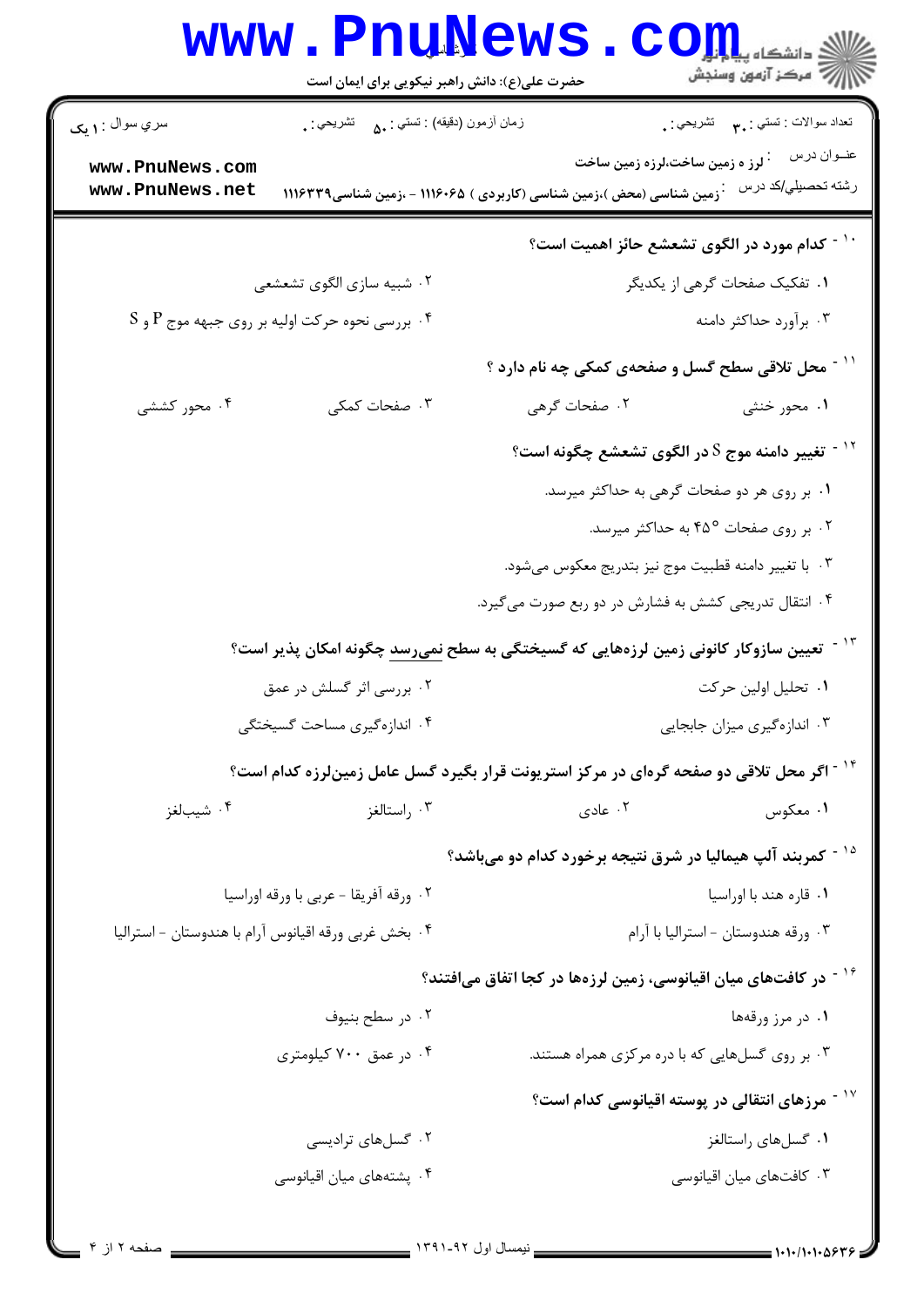| <b>www.PnuNews</b><br>حضرت علی(ع): دانش راهبر نیکویی برای ایمان است                       | ر آ مرڪز آزمون وسنڊش                                                                                     |  |
|-------------------------------------------------------------------------------------------|----------------------------------------------------------------------------------------------------------|--|
| زمان أزمون (دقيقه) : تستي : <sub>۵۰</sub> تشريحي : <sub>•</sub><br>سري سوال : <b>۱ يک</b> | تعداد سوالات : تستي : پم       تشريحي : <sub>.</sub>                                                     |  |
| www.PnuNews.com                                                                           | عنــوان درس<br><sup>:</sup> لرز ه زمین ساخت،لرزه زمین ساخت                                               |  |
| www.PnuNews.net                                                                           | رشته تحصيلي/كد درس<br>زمین شناسی (محض )،زمین شناسی (کاربردی ) ۱۱۱۶۰۶۵ - ،زمین شناسی۱۱۱۶۳۳۹               |  |
|                                                                                           | ً ` ` - كدام مورد در الگوی تشعشع حائز اهمیت است؟                                                         |  |
| ۰۲ شبیه سازی الگوی تشعشعی                                                                 | ۰۱ تفکیک صفحات گرهی از یکدیگر                                                                            |  |
| $\mathrm{S}$ . بررسی نحوه حرکت اولیه بر روی جبهه موج P و $\mathrm{P}$                     | ۰۳ برآورد حداکثر دامنه                                                                                   |  |
|                                                                                           | ّ` آ - محل تلاقی سطح گسل و صفحهی کمکی چه نام دارد ؟                                                      |  |
| ۰۴ محور کششی<br>۰۳ صفحات کمکی                                                             | ۰۱ محور خنثی<br>۰۲ صفحات گرهی                                                                            |  |
|                                                                                           | $^\circ$ تغییر دامنه موج S در الگوی تشعشع چگونه است $^\circ$                                             |  |
|                                                                                           | ۰۱ بر روی هر دو صفحات گرهی به حداکثر میرسد.                                                              |  |
|                                                                                           | ۰۲ بر روی صفحات ۴۵° به حداکثر میرسد.                                                                     |  |
|                                                                                           | ۰۳ با تغییر دامنه قطبیت موج نیز بتدریج معکوس میشود.                                                      |  |
|                                                                                           | ۰۴ انتقال تدریجی کشش به فشارش در دو ربع صورت میگیرد.                                                     |  |
|                                                                                           | <sup>۱۳ -</sup> تعیین سازوکار کانونی زمین لرزههایی که گسیختگی به سطح <u>نمیرسد</u> چگونه امکان پذیر است؟ |  |
| ۰۲ بررسی اثر گسلش در عمق                                                                  | ٠١ تحليل اولين حركت                                                                                      |  |
| ۰۴ اندازهگیری مساحت گسیختگی<br>۰۳ اندازهگیری میزان جابجایی                                |                                                                                                          |  |
|                                                                                           | <sup>۱۴ -</sup> اگر محل تلاقی دو صفحه گرهای در مرکز استریونت قرار بگیرد گسل عامل زمینلرزه کدام است؟      |  |
| ۰۴ شیبالغز<br>۰۳ راستالغز                                                                 | ۰۲ عادی<br>۰۱ معکوس                                                                                      |  |
|                                                                                           | <sup>۱۵ -</sup> کمربند آلپ هیمالیا در شرق نتیجه برخورد کدام دو میباشد؟                                   |  |
| ۰۲ ورقه آفريقا - عربي با ورقه اوراسيا                                                     | ۰۱ قاره هند با اوراسيا                                                                                   |  |
| ۰۴ بخش غربی ورقه اقیانوس آرام با هندوستان - استرالیا                                      | ۰۳ ورقه هندوستان - استراليا با آرام                                                                      |  |
|                                                                                           | <sup>۱۶ -</sup> در کافتهای میان اقیانوسی، زمین لرزهها در کجا اتفاق میافتند؟                              |  |
| ۰۲ در سطح بنیوف                                                                           | ۰۱ در مرز ورقهها                                                                                         |  |
| ۰۴ در عمق ۷۰۰ کیلومتری                                                                    | ۰۳ بر روی گسلهایی که با دره مرکزی همراه هستند.                                                           |  |
|                                                                                           | <sup>۱۷ -</sup> مرزهای انتقالی در پوسته اقیانوسی کدام است؟                                               |  |
| ۰۲ گسلهای ترادیسی                                                                         | ۰۱ گسلهای راستالغز                                                                                       |  |
| ۰۴ پشتههای میان اقیانوسی                                                                  | ۰۳ کافتهای میان اقیانوسی                                                                                 |  |
|                                                                                           |                                                                                                          |  |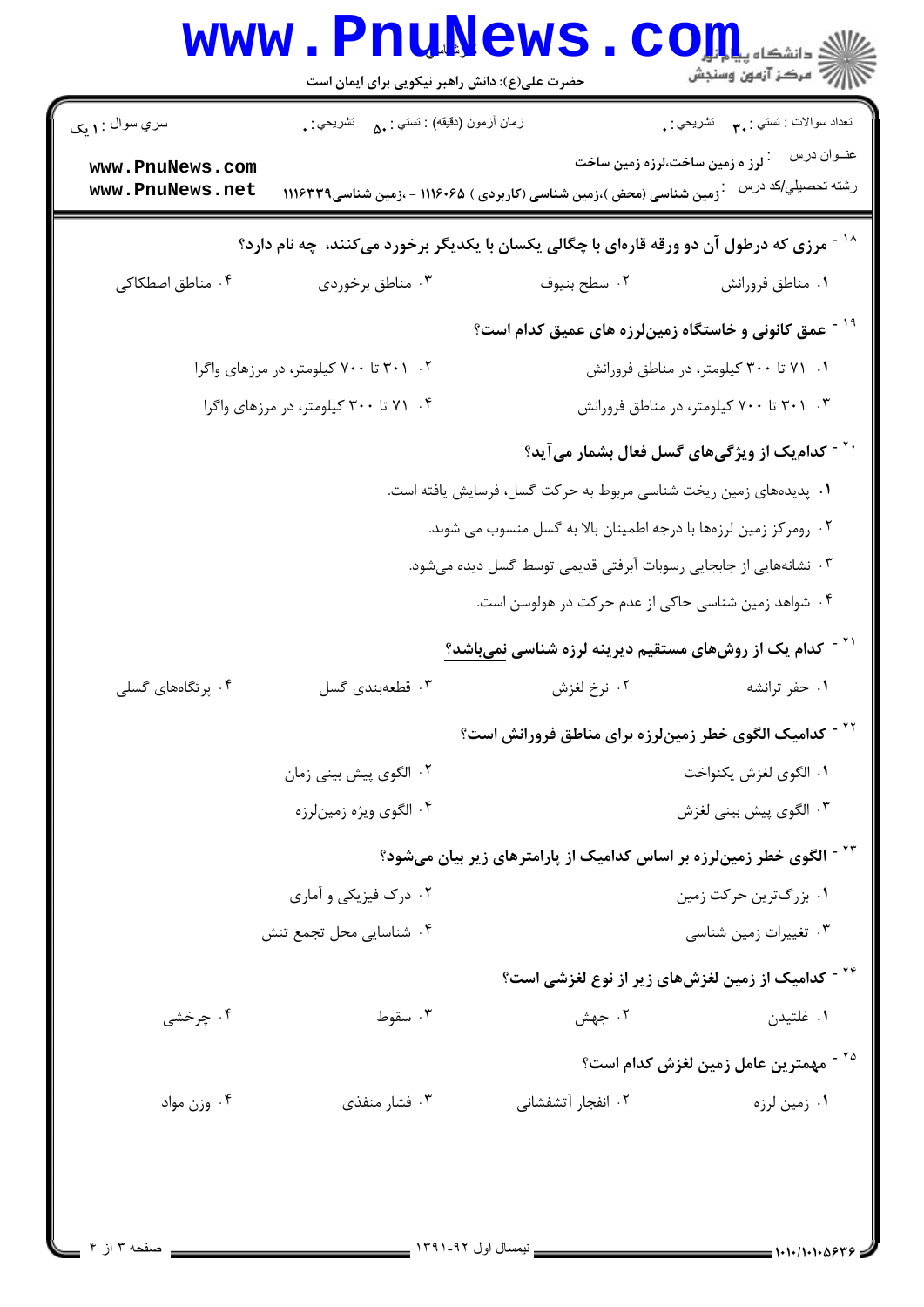|                                                                                      | www.PnuNews.<br>حضرت علی(ع): دانش راهبر نیکویی برای ایمان است                        |                                                                                                                                  | ر آمرڪز آزمون وسنڊش                                       |  |  |
|--------------------------------------------------------------------------------------|--------------------------------------------------------------------------------------|----------------------------------------------------------------------------------------------------------------------------------|-----------------------------------------------------------|--|--|
| سري سوال : <b>۱ يک</b>                                                               | زمان أزمون (دقيقه) : تستى : ۵۰       تشريحي : .                                      |                                                                                                                                  | تعداد سوالات : تستي : ٣ <b>. س</b> تشريحي : .             |  |  |
| www.PnuNews.com<br>www.PnuNews.net                                                   |                                                                                      | <sup>:</sup> لرز ه زمین ساخت،لرزه زمین ساخت<br><sup>:</sup> زمین شناسی (محض )،زمین شناسی (کاربردی ) ۱۱۱۶۰۶۵ - ،زمین شناسی۱۱۱۶۳۳۹ | عنــوان درس<br>رشته تحصيلي/كد درس                         |  |  |
| مرزی که درطول آن دو ورقه قارهای با چگالی یکسان با یکدیگر برخورد میکنند، چه نام دارد؟ |                                                                                      |                                                                                                                                  |                                                           |  |  |
| ۰۴ مناطق اصطکاکی                                                                     | ۰۳ مناطق برخوردی                                                                     | ۰۲ سطح بنيوف                                                                                                                     | ٠١ مناطق فرورانش                                          |  |  |
|                                                                                      |                                                                                      | <sup>۱۹ -</sup> عمق کانونی و خاستگاه زمینلرزه های عمیق کدام است؟                                                                 |                                                           |  |  |
|                                                                                      | ۰۲ ۲۰۱ تا ۷۰۰ کیلومتر، در مرزهای واگرا                                               |                                                                                                                                  | ۰۱ ، ۷۱ تا ۳۰۰ کیلومتر، در مناطق فرورانش                  |  |  |
|                                                                                      | ۰۳ . ۳۰۱ تا ۷۰۰ کیلومتر، در مناطق فرورانش<br>۰۴ ، ۷۱ تا ۳۰۰ کیلومتر، در مرزهای واگرا |                                                                                                                                  |                                                           |  |  |
|                                                                                      |                                                                                      |                                                                                                                                  | <sup>۲۰ -</sup> کدام یک از ویژگیهای گسل فعال بشمار میآید؟ |  |  |
|                                                                                      |                                                                                      | ۰۱ پدیدههای زمین ریخت شناسی مربوط به حرکت گسل، فرسایش یافته است.                                                                 |                                                           |  |  |
|                                                                                      |                                                                                      | ۰۲ رومرکز زمین لرزهها با درجه اطمینان بالا به گسل منسوب می شوند.                                                                 |                                                           |  |  |
|                                                                                      |                                                                                      | ۰۳ نشانههایی از جابجایی رسوبات آبرفتی قدیمی توسط گسل دیده میشود.                                                                 |                                                           |  |  |
|                                                                                      |                                                                                      | ۰۴ شواهد زمین شناسی حاکی از عدم حرکت در هولوسن است.                                                                              |                                                           |  |  |
|                                                                                      |                                                                                      | <sup>۲۱ -</sup> کدام یک از روشهای مستقیم دیرینه لرزه شناسی <u>نمیباشد؟</u>                                                       |                                                           |  |  |
| ۴. پرتگاههای گسلی                                                                    | ۰۳ قطعهبندی گسل                                                                      | ٢. نرخ لغزش                                                                                                                      | ٠١ حفر ترانشه                                             |  |  |
|                                                                                      |                                                                                      | <sup>۲۲ -</sup> کدامیک الگوی خطر زمینلرزه برای مناطق فرورانش است؟                                                                |                                                           |  |  |
| ۰۲ الگوی پیش بینی زمان                                                               |                                                                                      |                                                                                                                                  | ٠١ الگوى لغزش يكنواخت                                     |  |  |
|                                                                                      | ۰۴ الگوی ویژه زمینلرزه                                                               |                                                                                                                                  | ۰۳ الگوی پیش بینی لغزش                                    |  |  |
|                                                                                      |                                                                                      | <sup>۲۳ -</sup> الگوی خطر زمینلرزه بر اساس کدامیک از پارامترهای زیر بیان میشود؟                                                  |                                                           |  |  |
|                                                                                      | ۰۲ درک فیزیکی و آماری                                                                | ۰۱ بزرگترین حرکت زمین                                                                                                            |                                                           |  |  |
|                                                                                      | ۰۴ شناسایی محل تجمع تنش                                                              |                                                                                                                                  | ۰۳ تغییرات زمین شناسی                                     |  |  |
|                                                                                      |                                                                                      | <sup>۲۴ -</sup> کدامیک از زمین لغزشهای زیر از نوع لغزشی است؟                                                                     |                                                           |  |  |
| ۰۴ چرخشی                                                                             | ۰۳ سقوط                                                                              | ۰۲ جهش                                                                                                                           | ۰۱ غلتيدن                                                 |  |  |
|                                                                                      |                                                                                      |                                                                                                                                  | <sup>۲۵ -</sup> مهمترین عامل زمین لغزش کدام است؟          |  |  |
| ۰۴ وزن مواد                                                                          | ۰۳ فشار منفذی                                                                        | ۰۲ انفجار آتشفشانی                                                                                                               | ۰۱ زمین لرزه                                              |  |  |
|                                                                                      |                                                                                      |                                                                                                                                  |                                                           |  |  |
|                                                                                      |                                                                                      |                                                                                                                                  |                                                           |  |  |